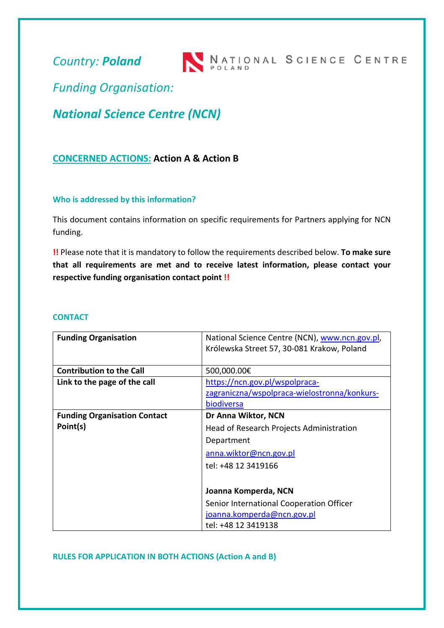*Country: Poland*



*Funding Organisation:*

*National Science Centre (NCN)*

# **CONCERNED ACTIONS: Action A & Action B**

### **Who is addressed by this information?**

This document contains information on specific requirements for Partners applying for NCN funding.

**!!** Please note that it is mandatory to follow the requirements described below. **To make sure that all requirements are met and to receive latest information, please contact your respective funding organisation contact point !!**

#### **CONTACT**

| <b>Funding Organisation</b>         | National Science Centre (NCN), www.ncn.gov.pl,<br>Królewska Street 57, 30-081 Krakow, Poland |
|-------------------------------------|----------------------------------------------------------------------------------------------|
|                                     |                                                                                              |
| <b>Contribution to the Call</b>     | 500,000.00€                                                                                  |
| Link to the page of the call        | https://ncn.gov.pl/wspolpraca-                                                               |
|                                     | zagraniczna/wspolpraca-wielostronna/konkurs-                                                 |
|                                     | biodiversa                                                                                   |
| <b>Funding Organisation Contact</b> | Dr Anna Wiktor, NCN                                                                          |
| Point(s)                            | Head of Research Projects Administration                                                     |
|                                     | Department                                                                                   |
|                                     | anna.wiktor@ncn.gov.pl                                                                       |
|                                     | tel: +48 12 3419166                                                                          |
|                                     |                                                                                              |
|                                     | Joanna Komperda, NCN                                                                         |
|                                     | Senior International Cooperation Officer                                                     |
|                                     | joanna.komperda@ncn.gov.pl                                                                   |
|                                     | tel: +48 12 3419138                                                                          |

**RULES FOR APPLICATION IN BOTH ACTIONS (Action A and B)**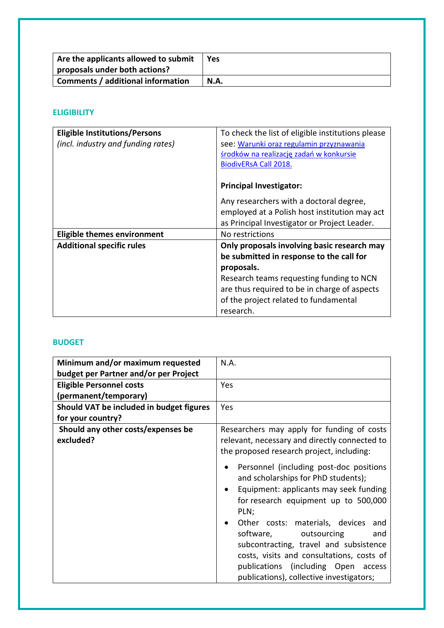| Are the applicants allowed to submit<br>proposals under both actions? | <b>Yes</b> |
|-----------------------------------------------------------------------|------------|
| Comments / additional information                                     | N.A.       |

### **ELIGIBILITY**

| <b>Eligible Institutions/Persons</b> | To check the list of eligible institutions please |
|--------------------------------------|---------------------------------------------------|
| (incl. industry and funding rates)   | see: Warunki oraz regulamin przyznawania          |
|                                      | środków na realizację zadań w konkursie           |
|                                      | <b>BiodivERsA Call 2018.</b>                      |
|                                      |                                                   |
|                                      | <b>Principal Investigator:</b>                    |
|                                      | Any researchers with a doctoral degree,           |
|                                      | employed at a Polish host institution may act     |
|                                      | as Principal Investigator or Project Leader.      |
|                                      |                                                   |
| <b>Eligible themes environment</b>   | No restrictions                                   |
| <b>Additional specific rules</b>     | Only proposals involving basic research may       |
|                                      | be submitted in response to the call for          |
|                                      | proposals.                                        |
|                                      | Research teams requesting funding to NCN          |
|                                      | are thus required to be in charge of aspects      |
|                                      | of the project related to fundamental             |
|                                      | research.                                         |

### **BUDGET**

| Minimum and/or maximum requested<br>budget per Partner and/or per Project | N.A.                                                                                                                                                                                                                                                                                                                                                                                                                                            |
|---------------------------------------------------------------------------|-------------------------------------------------------------------------------------------------------------------------------------------------------------------------------------------------------------------------------------------------------------------------------------------------------------------------------------------------------------------------------------------------------------------------------------------------|
| <b>Eligible Personnel costs</b><br>(permanent/temporary)                  | <b>Yes</b>                                                                                                                                                                                                                                                                                                                                                                                                                                      |
| Should VAT be included in budget figures<br>for your country?             | Yes                                                                                                                                                                                                                                                                                                                                                                                                                                             |
| Should any other costs/expenses be<br>excluded?                           | Researchers may apply for funding of costs<br>relevant, necessary and directly connected to<br>the proposed research project, including:                                                                                                                                                                                                                                                                                                        |
|                                                                           | Personnel (including post-doc positions<br>and scholarships for PhD students);<br>Equipment: applicants may seek funding<br>$\bullet$<br>for research equipment up to 500,000<br>PLN;<br>Other costs: materials, devices<br>and<br>software,<br>outsourcing<br>and<br>subcontracting, travel and subsistence<br>costs, visits and consultations, costs of<br>publications (including Open<br>access<br>publications), collective investigators; |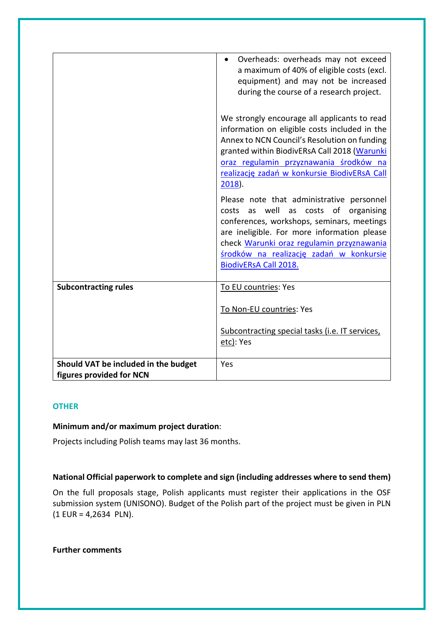|                                                                  | Overheads: overheads may not exceed<br>a maximum of 40% of eligible costs (excl.<br>equipment) and may not be increased<br>during the course of a research project.<br>We strongly encourage all applicants to read                                                                                             |
|------------------------------------------------------------------|-----------------------------------------------------------------------------------------------------------------------------------------------------------------------------------------------------------------------------------------------------------------------------------------------------------------|
|                                                                  | information on eligible costs included in the<br>Annex to NCN Council's Resolution on funding<br>granted within BiodivERsA Call 2018 (Warunki<br>oraz regulamin przyznawania środków na<br>realizację zadań w konkursie BiodivERsA Call<br>$2018$ ).                                                            |
|                                                                  | Please note that administrative personnel<br>well as costs of<br>organising<br>costs<br>as<br>conferences, workshops, seminars, meetings<br>are ineligible. For more information please<br>check Warunki oraz regulamin przyznawania<br>środków na realizację zadań w konkursie<br><b>BiodivERsA Call 2018.</b> |
| <b>Subcontracting rules</b>                                      | To EU countries: Yes                                                                                                                                                                                                                                                                                            |
|                                                                  | To Non-EU countries: Yes                                                                                                                                                                                                                                                                                        |
|                                                                  | Subcontracting special tasks (i.e. IT services,<br>etc): Yes                                                                                                                                                                                                                                                    |
| Should VAT be included in the budget<br>figures provided for NCN | Yes                                                                                                                                                                                                                                                                                                             |

### **OTHER**

### **Minimum and/or maximum project duration**:

Projects including Polish teams may last 36 months.

## **National Official paperwork to complete and sign (including addresses where to send them)**

On the full proposals stage, Polish applicants must register their applications in the OSF submission system (UNISONO). Budget of the Polish part of the project must be given in PLN (1 EUR = 4,2634 PLN).

### **Further comments**